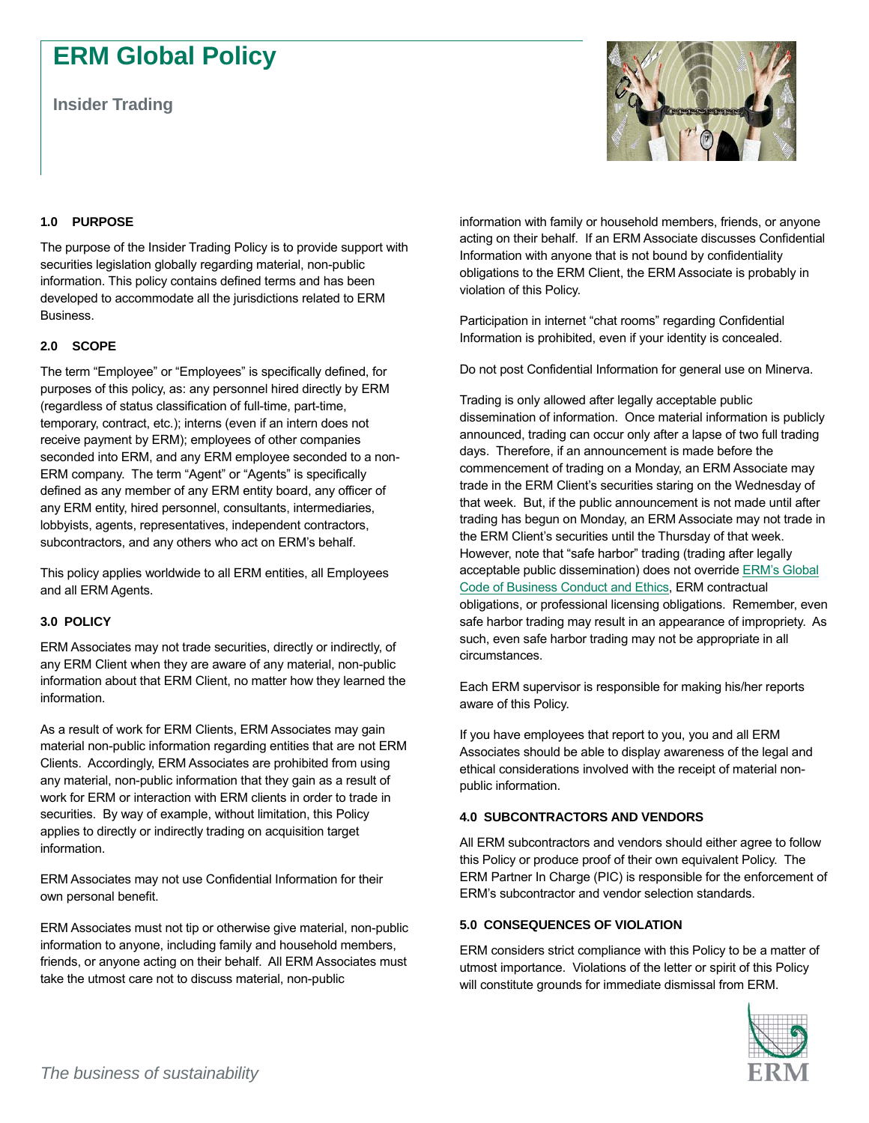# **ERM Global Policy**

**Insider Trading** 



## **1.0 PURPOSE**

The purpose of the Insider Trading Policy is to provide support with securities legislation globally regarding material, non-public information. This policy contains defined terms and has been developed to accommodate all the jurisdictions related to ERM Business.

## **2.0 SCOPE**

The term "Employee" or "Employees" is specifically defined, for purposes of this policy, as: any personnel hired directly by ERM (regardless of status classification of full-time, part-time, temporary, contract, etc.); interns (even if an intern does not receive payment by ERM); employees of other companies seconded into ERM, and any ERM employee seconded to a non-ERM company. The term "Agent" or "Agents" is specifically defined as any member of any ERM entity board, any officer of any ERM entity, hired personnel, consultants, intermediaries, lobbyists, agents, representatives, independent contractors, subcontractors, and any others who act on ERM's behalf.

This policy applies worldwide to all ERM entities, all Employees and all ERM Agents.

#### **3.0 POLICY**

ERM Associates may not trade securities, directly or indirectly, of any ERM Client when they are aware of any material, non-public information about that ERM Client, no matter how they learned the information.

As a result of work for ERM Clients, ERM Associates may gain material non-public information regarding entities that are not ERM Clients. Accordingly, ERM Associates are prohibited from using any material, non-public information that they gain as a result of work for ERM or interaction with ERM clients in order to trade in securities. By way of example, without limitation, this Policy applies to directly or indirectly trading on acquisition target information.

ERM Associates may not use Confidential Information for their own personal benefit.

ERM Associates must not tip or otherwise give material, non-public information to anyone, including family and household members, friends, or anyone acting on their behalf. All ERM Associates must take the utmost care not to discuss material, non-public

information with family or household members, friends, or anyone acting on their behalf. If an ERM Associate discusses Confidential Information with anyone that is not bound by confidentiality obligations to the ERM Client, the ERM Associate is probably in violation of this Policy.

Participation in internet "chat rooms" regarding Confidential Information is prohibited, even if your identity is concealed.

Do not post Confidential Information for general use on Minerva.

Trading is only allowed after legally acceptable public dissemination of information. Once material information is publicly announced, trading can occur only after a lapse of two full trading days. Therefore, if an announcement is made before the commencement of trading on a Monday, an ERM Associate may trade in the ERM Client's securities staring on the Wednesday of that week. But, if the public announcement is not made until after trading has begun on Monday, an ERM Associate may not trade in the ERM Client's securities until the Thursday of that week. However, note that "safe harbor" trading (trading after legally acceptable public dissemination) does not override [ERM's Global](https://erm.com/en/about-us/sustainability/business-conduct-and-ethics/erms-global-code/https:/erm.com/en/about-us/sustainability/business-conduct-and-ethics/erms-global-code/)  [Code of Business Conduct and Ethics,](https://erm.com/en/about-us/sustainability/business-conduct-and-ethics/erms-global-code/https:/erm.com/en/about-us/sustainability/business-conduct-and-ethics/erms-global-code/) ERM contractual obligations, or professional licensing obligations. Remember, even safe harbor trading may result in an appearance of impropriety. As such, even safe harbor trading may not be appropriate in all circumstances.

Each ERM supervisor is responsible for making his/her reports aware of this Policy.

If you have employees that report to you, you and all ERM Associates should be able to display awareness of the legal and ethical considerations involved with the receipt of material nonpublic information.

## **4.0 SUBCONTRACTORS AND VENDORS**

All ERM subcontractors and vendors should either agree to follow this Policy or produce proof of their own equivalent Policy. The ERM Partner In Charge (PIC) is responsible for the enforcement of ERM's subcontractor and vendor selection standards.

## **5.0 CONSEQUENCES OF VIOLATION**

ERM considers strict compliance with this Policy to be a matter of utmost importance. Violations of the letter or spirit of this Policy will constitute grounds for immediate dismissal from ERM.

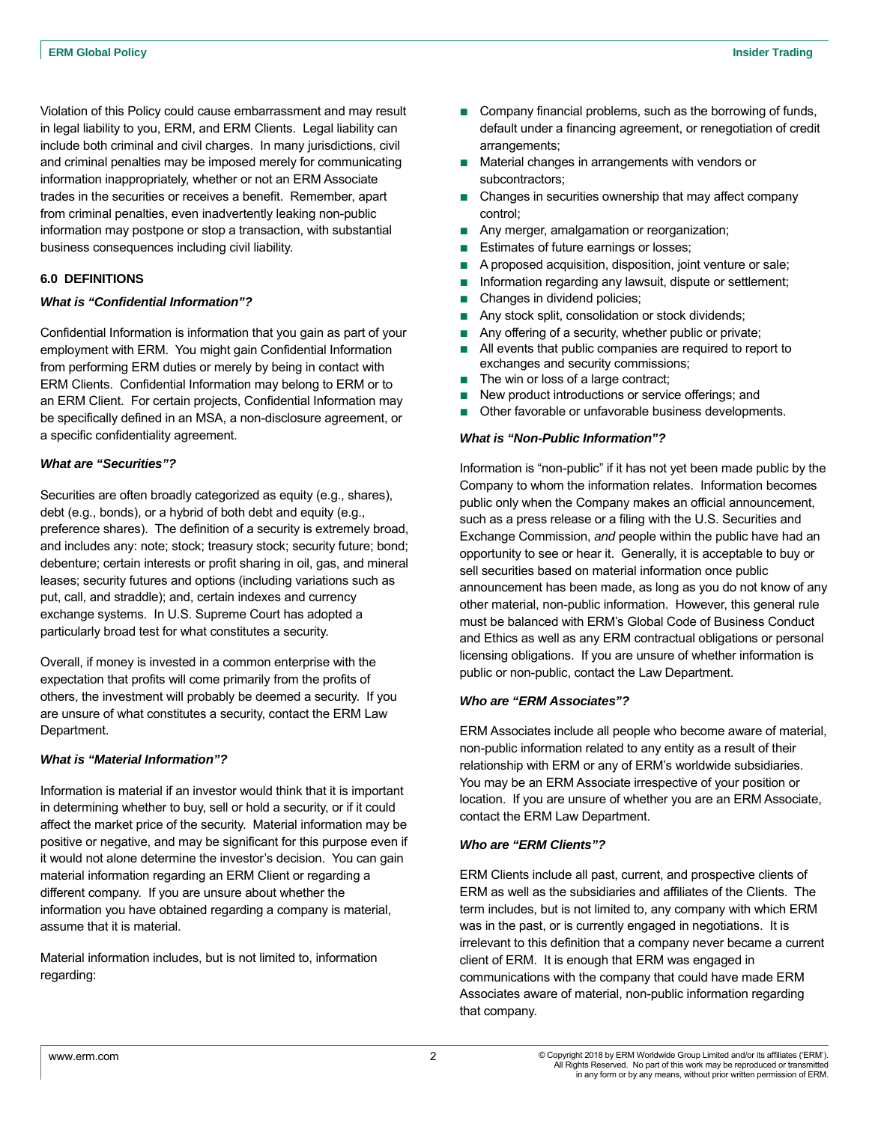Violation of this Policy could cause embarrassment and may result in legal liability to you, ERM, and ERM Clients. Legal liability can include both criminal and civil charges. In many jurisdictions, civil and criminal penalties may be imposed merely for communicating information inappropriately, whether or not an ERM Associate trades in the securities or receives a benefit. Remember, apart from criminal penalties, even inadvertently leaking non-public information may postpone or stop a transaction, with substantial business consequences including civil liability.

## **6.0 DEFINITIONS**

#### *What is "Confidential Information"?*

Confidential Information is information that you gain as part of your employment with ERM. You might gain Confidential Information from performing ERM duties or merely by being in contact with ERM Clients. Confidential Information may belong to ERM or to an ERM Client. For certain projects, Confidential Information may be specifically defined in an MSA, a non-disclosure agreement, or a specific confidentiality agreement.

#### *What are "Securities"?*

Securities are often broadly categorized as equity (e.g., shares), debt (e.g., bonds), or a hybrid of both debt and equity (e.g., preference shares). The definition of a security is extremely broad, and includes any: note; stock; treasury stock; security future; bond; debenture; certain interests or profit sharing in oil, gas, and mineral leases; security futures and options (including variations such as put, call, and straddle); and, certain indexes and currency exchange systems. In U.S. Supreme Court has adopted a particularly broad test for what constitutes a security.

Overall, if money is invested in a common enterprise with the expectation that profits will come primarily from the profits of others, the investment will probably be deemed a security. If you are unsure of what constitutes a security, contact the ERM Law Department.

#### *What is "Material Information"?*

Information is material if an investor would think that it is important in determining whether to buy, sell or hold a security, or if it could affect the market price of the security. Material information may be positive or negative, and may be significant for this purpose even if it would not alone determine the investor's decision. You can gain material information regarding an ERM Client or regarding a different company. If you are unsure about whether the information you have obtained regarding a company is material, assume that it is material.

Material information includes, but is not limited to, information regarding:

- Company financial problems, such as the borrowing of funds, default under a financing agreement, or renegotiation of credit arrangements;
- Material changes in arrangements with vendors or subcontractors;
- Changes in securities ownership that may affect company control;
- Any merger, amalgamation or reorganization;
- Estimates of future earnings or losses;
- A proposed acquisition, disposition, joint venture or sale;
- Information regarding any lawsuit, dispute or settlement;
- Changes in dividend policies;
- Any stock split, consolidation or stock dividends;
- Any offering of a security, whether public or private;
- All events that public companies are required to report to exchanges and security commissions;
- The win or loss of a large contract;
- New product introductions or service offerings; and
- Other favorable or unfavorable business developments.

## *What is "Non-Public Information"?*

Information is "non-public" if it has not yet been made public by the Company to whom the information relates. Information becomes public only when the Company makes an official announcement, such as a press release or a filing with the U.S. Securities and Exchange Commission, *and* people within the public have had an opportunity to see or hear it. Generally, it is acceptable to buy or sell securities based on material information once public announcement has been made, as long as you do not know of any other material, non-public information. However, this general rule must be balanced with ERM's Global Code of Business Conduct and Ethics as well as any ERM contractual obligations or personal licensing obligations. If you are unsure of whether information is public or non-public, contact the Law Department.

#### *Who are "ERM Associates"?*

ERM Associates include all people who become aware of material, non-public information related to any entity as a result of their relationship with ERM or any of ERM's worldwide subsidiaries. You may be an ERM Associate irrespective of your position or location. If you are unsure of whether you are an ERM Associate, contact the ERM Law Department.

#### *Who are "ERM Clients"?*

ERM Clients include all past, current, and prospective clients of ERM as well as the subsidiaries and affiliates of the Clients. The term includes, but is not limited to, any company with which ERM was in the past, or is currently engaged in negotiations. It is irrelevant to this definition that a company never became a current client of ERM. It is enough that ERM was engaged in communications with the company that could have made ERM Associates aware of material, non-public information regarding that company.